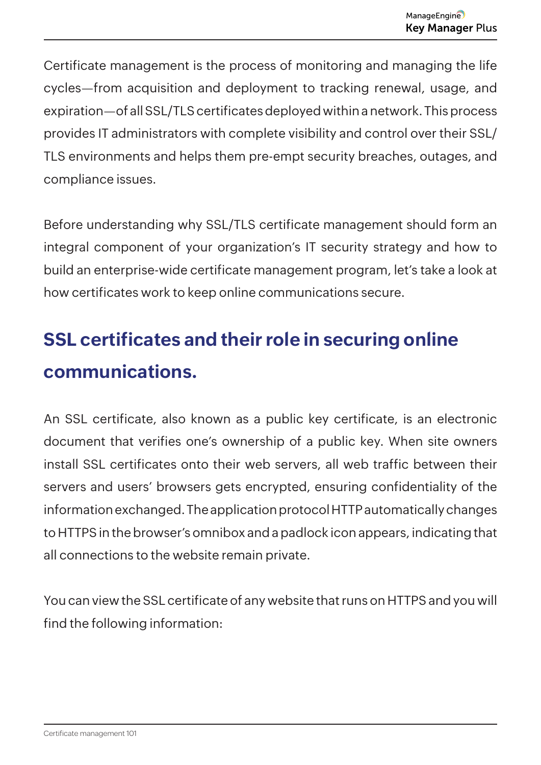Certificate management is the process of monitoring and managing the life cycles—from acquisition and deployment to tracking renewal, usage, and expiration—of all SSL/TLS certificates deployed within a network. This process provides IT administrators with complete visibility and control over their SSL/ TLS environments and helps them pre-empt security breaches, outages, and compliance issues.

Before understanding why SSL/TLS certificate management should form an integral component of your organization's IT security strategy and how to build an enterprise-wide certificate management program, let's take a look at how certificates work to keep online communications secure.

## **SSL certificates and their role in securing online communications.**

An SSL certificate, also known as a public key certificate, is an electronic document that verifies one's ownership of a public key. When site owners install SSL certificates onto their web servers, all web traffic between their servers and users' browsers gets encrypted, ensuring confidentiality of the information exchanged. The application protocol HTTP automatically changes to HTTPS in the browser's omnibox and a padlock icon appears, indicating that all connections to the website remain private.

You can view the SSL certificate of any website that runs on HTTPS and you will find the following information: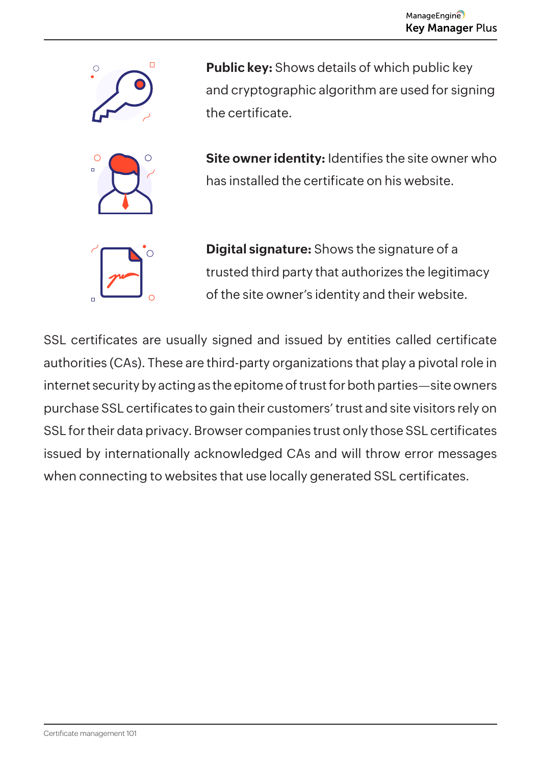

**Public key:** Shows details of which public key and cryptographic algorithm are used for signing the certificate.

**Site owner identity:** Identifies the site owner who has installed the certificate on his website.



**Digital signature:** Shows the signature of a trusted third party that authorizes the legitimacy of the site owner's identity and their website.

SSL certificates are usually signed and issued by entities called certificate authorities (CAs). These are third-party organizations that play a pivotal role in internet security by acting as the epitome of trust for both parties—site owners purchase SSL certificates to gain their customers' trust and site visitors rely on SSL for their data privacy. Browser companies trust only those SSL certificates issued by internationally acknowledged CAs and will throw error messages when connecting to websites that use locally generated SSL certificates.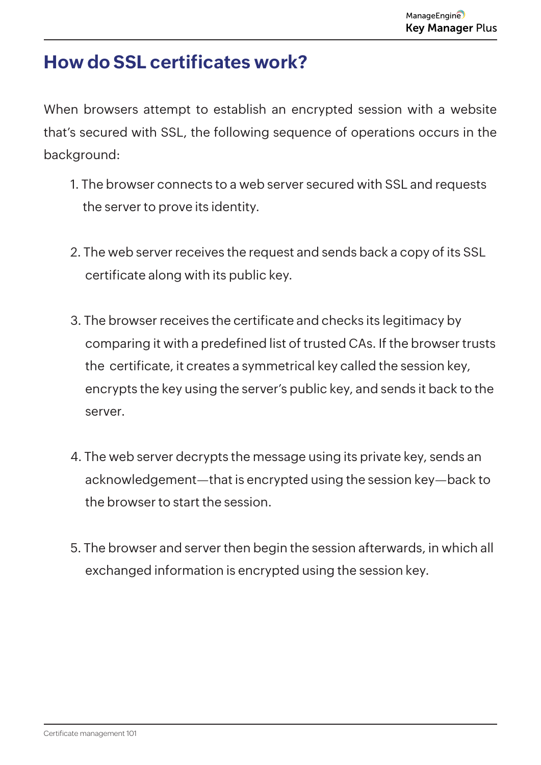### **How do SSL certificates work?**

When browsers attempt to establish an encrypted session with a website that's secured with SSL, the following sequence of operations occurs in the background:

- 1. The browser connects to a web server secured with SSL and requests the server to prove its identity.
- 2. The web server receives the request and sends back a copy of its SSL certificate along with its public key.
- 3. The browser receives the certificate and checks its legitimacy by comparing it with a predefined list of trusted CAs. If the browser trusts the certificate, it creates a symmetrical key called the session key, encrypts the key using the server's public key, and sends it back to the server.
- 4. The web server decrypts the message using its private key, sends an acknowledgement—that is encrypted using the session key—back to the browser to start the session.
- 5. The browser and server then begin the session afterwards, in which all exchanged information is encrypted using the session key.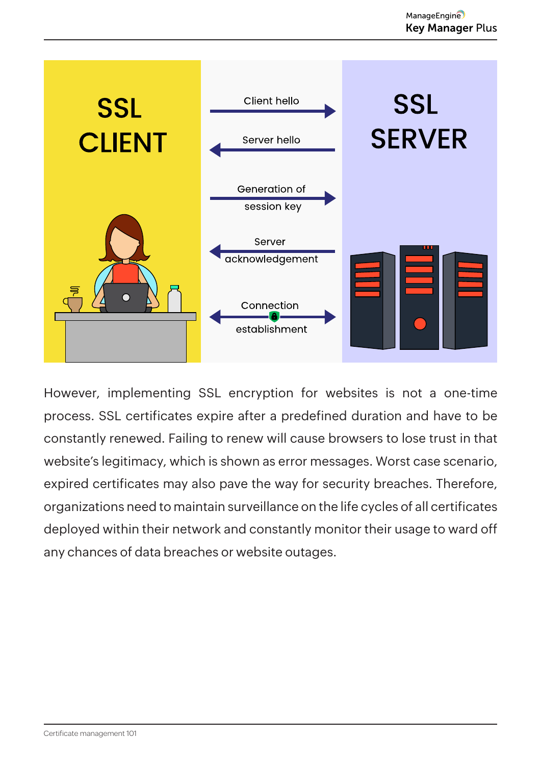

However, implementing SSL encryption for websites is not a one-time process. SSL certificates expire after a predefined duration and have to be constantly renewed. Failing to renew will cause browsers to lose trust in that website's legitimacy, which is shown as error messages. Worst case scenario, expired certificates may also pave the way for security breaches. Therefore, organizations need to maintain surveillance on the life cycles of all certificates deployed within their network and constantly monitor their usage to ward off any chances of data breaches or website outages.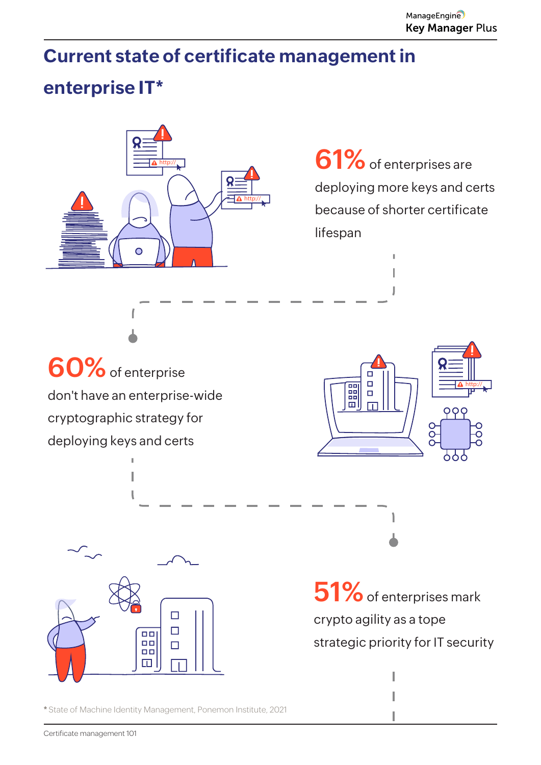# **Current state of certificate management in**

### **enterprise IT\***



**61%**of enterprises are deploying more keys and certs because of shorter certificate lifespan



**60%**of enterprise don't have an enterprise-wide cryptographic strategy for deploying keys and certs



**\*** State of Machine Identity Management, Ponemon Institute, 2021



**51%** of enterprises mark crypto agility as a tope strategic priority for IT security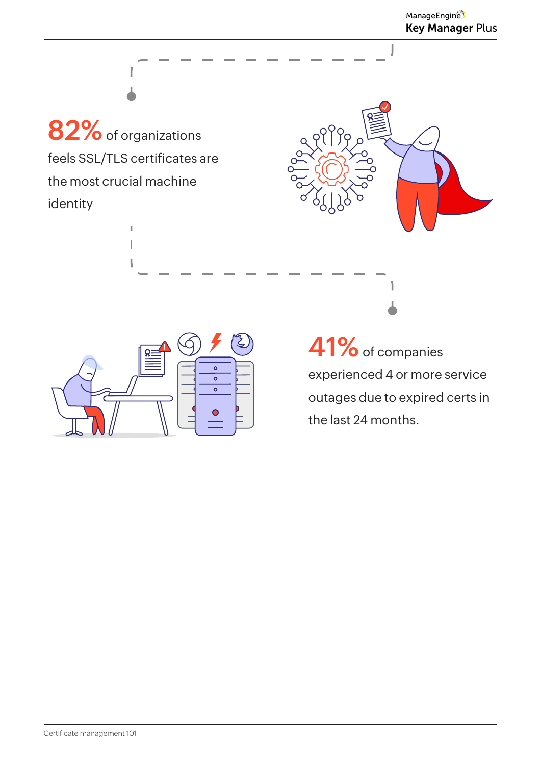**82%**of organizations feels SSL/TLS certificates are the most crucial machine identity

> Ì. I



I



**41%**of companies experienced 4 or more service outages due to expired certs in the last 24 months.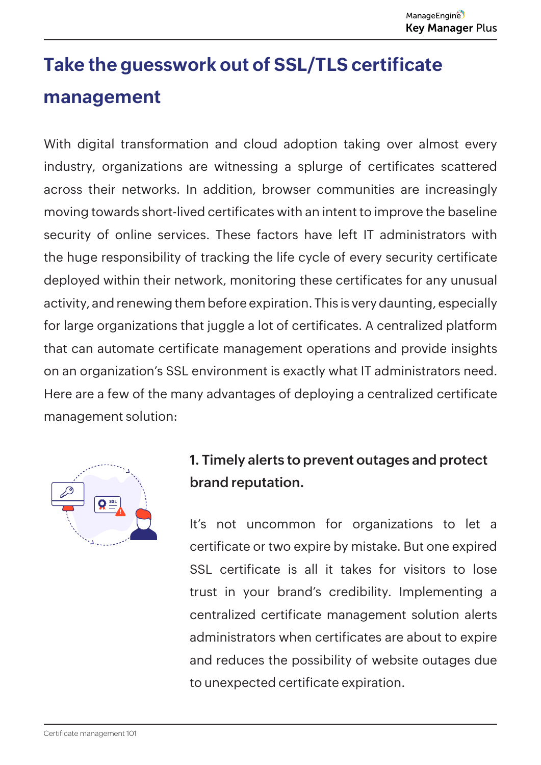## **Take the guesswork out of SSL/TLS certificate management**

With digital transformation and cloud adoption taking over almost every industry, organizations are witnessing a splurge of certificates scattered across their networks. In addition, browser communities are increasingly moving towards short-lived certificates with an intent to improve the baseline security of online services. These factors have left IT administrators with the huge responsibility of tracking the life cycle of every security certificate deployed within their network, monitoring these certificates for any unusual activity, and renewing them before expiration. This is very daunting, especially for large organizations that juggle a lot of certificates. A centralized platform that can automate certificate management operations and provide insights on an organization's SSL environment is exactly what IT administrators need. Here are a few of the many advantages of deploying a centralized certificate management solution:



#### **1. Timely alerts to prevent outages and protect brand reputation.**

It's not uncommon for organizations to let a certificate or two expire by mistake. But one expired SSL certificate is all it takes for visitors to lose trust in your brand's credibility. Implementing a centralized certificate management solution alerts administrators when certificates are about to expire and reduces the possibility of website outages due to unexpected certificate expiration.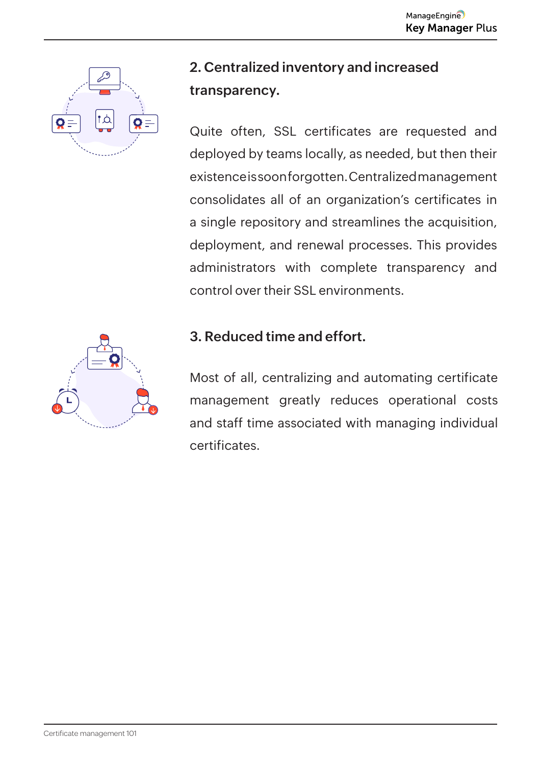

#### **2. Centralized inventory and increased transparency.**

Quite often, SSL certificates are requested and deployed by teams locally, as needed, but then their existence is soon forgotten. Centralized management consolidates all of an organization's certificates in a single repository and streamlines the acquisition, deployment, and renewal processes. This provides administrators with complete transparency and control over their SSL environments.

#### **3. Reduced time and effort.**

Most of all, centralizing and automating certificate management greatly reduces operational costs and staff time associated with managing individual certificates.

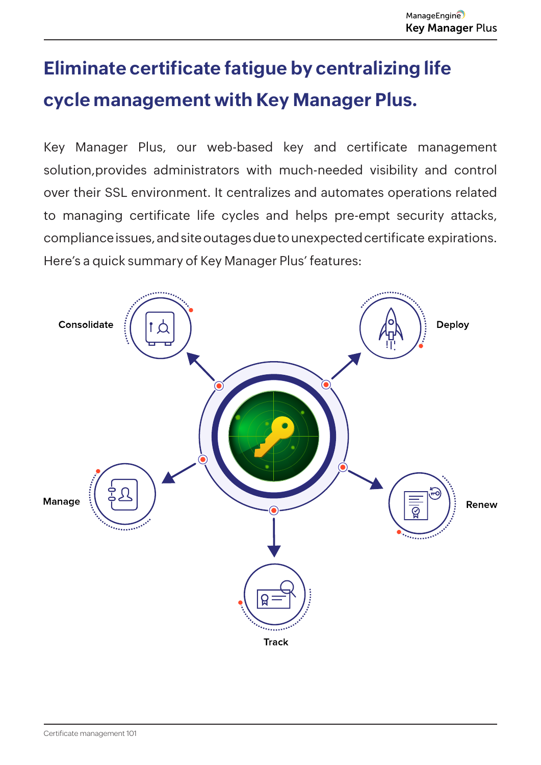### **Eliminate certificate fatigue by centralizing life cycle management with Key Manager Plus.**

Key Manager Plus, our web-based key and certificate management solution,provides administrators with much-needed visibility and control over their SSL environment. It centralizes and automates operations related to managing certificate life cycles and helps pre-empt security attacks, compliance issues, and site outages due to unexpected certificate expirations. Here's a quick summary of Key Manager Plus' features:

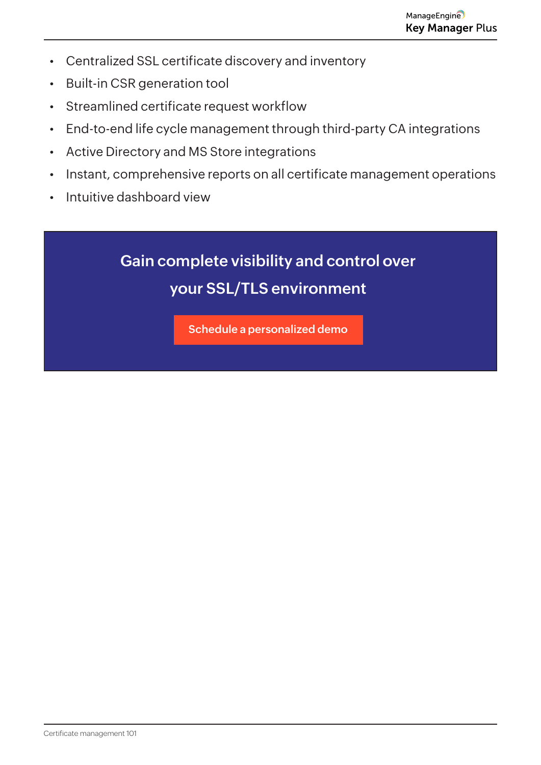- Centralized SSL certificate discovery and inventory
- Built-in CSR generation tool
- Streamlined certificate request workflow
- End-to-end life cycle management through third-party CA integrations
- Active Directory and MS Store integrations
- Instant, comprehensive reports on all certificate management operations
- Intuitive dashboard view

### **Gain complete visibility and control over your SSL/TLS environment**

**[Schedule a personalized demo](
https://www.manageengine.com/key-manager/demo.html?utm_source=Referral&utm_medium=Mailer&utm_campaign=Drip-campaign-kmp)**